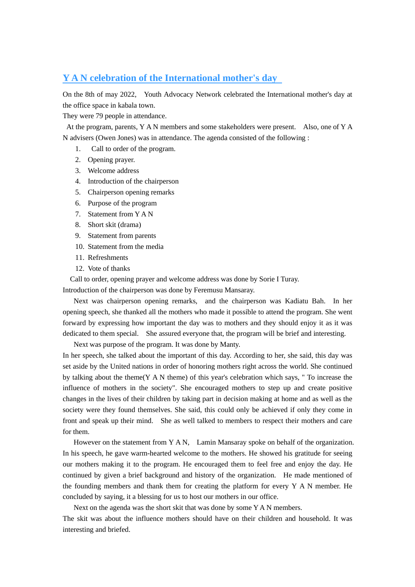# **Y A N celebration of the International mother's day**

On the 8th of may 2022, Youth Advocacy Network celebrated the International mother's day at the office space in kabala town.

They were 79 people in attendance.

At the program, parents, Y A N members and some stakeholders were present. Also, one of Y A N advisers (Owen Jones) was in attendance. The agenda consisted of the following :

- 1. Call to order of the program.
- 2. Opening prayer.
- 3. Welcome address
- 4. Introduction of the chairperson
- 5. Chairperson opening remarks
- 6. Purpose of the program
- 7. Statement from Y A N
- 8. Short skit (drama)
- 9. Statement from parents
- 10. Statement from the media
- 11. Refreshments
- 12. Vote of thanks

Call to order, opening prayer and welcome address was done by Sorie I Turay.

Introduction of the chairperson was done by Feremusu Mansaray.

 Next was chairperson opening remarks, and the chairperson was Kadiatu Bah. In her opening speech, she thanked all the mothers who made it possible to attend the program. She went forward by expressing how important the day was to mothers and they should enjoy it as it was dedicated to them special. She assured everyone that, the program will be brief and interesting.

Next was purpose of the program. It was done by Manty.

In her speech, she talked about the important of this day. According to her, she said, this day was set aside by the United nations in order of honoring mothers right across the world. She continued by talking about the theme(Y A N theme) of this year's celebration which says, " To increase the influence of mothers in the society". She encouraged mothers to step up and create positive changes in the lives of their children by taking part in decision making at home and as well as the society were they found themselves. She said, this could only be achieved if only they come in front and speak up their mind. She as well talked to members to respect their mothers and care for them.

 However on the statement from Y A N, Lamin Mansaray spoke on behalf of the organization. In his speech, he gave warm-hearted welcome to the mothers. He showed his gratitude for seeing our mothers making it to the program. He encouraged them to feel free and enjoy the day. He continued by given a brief background and history of the organization. He made mentioned of the founding members and thank them for creating the platform for every Y A N member. He concluded by saying, it a blessing for us to host our mothers in our office.

Next on the agenda was the short skit that was done by some Y A N members.

The skit was about the influence mothers should have on their children and household. It was interesting and briefed.